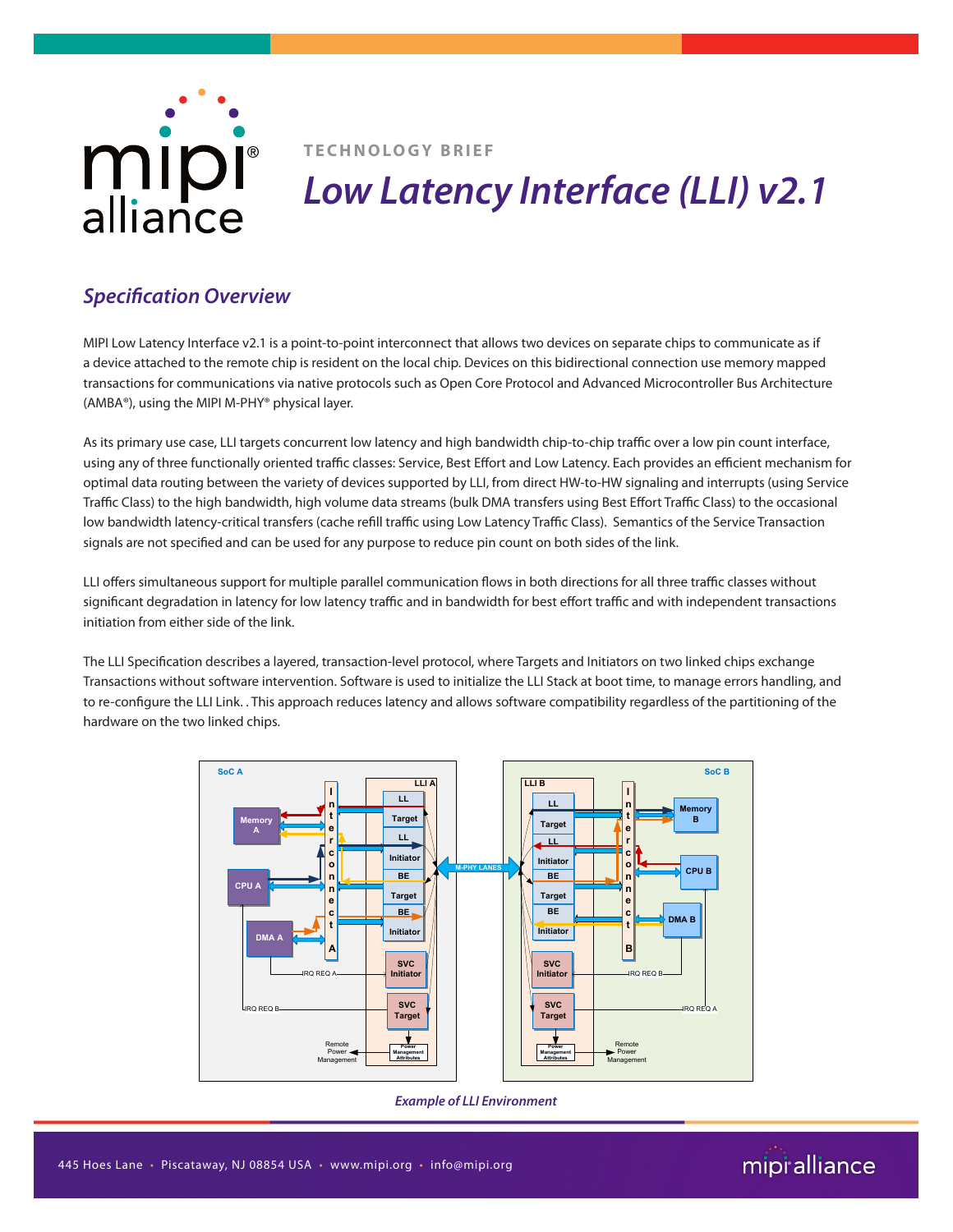

**TECHNOLOGY BRIEF**

## *Low Latency Interface (LLI) v2.1*

### *Specification Overview*

MIPI Low Latency Interface v2.1 is a point-to-point interconnect that allows two devices on separate chips to communicate as if a device attached to the remote chip is resident on the local chip. Devices on this bidirectional connection use memory mapped transactions for communications via native protocols such as Open Core Protocol and Advanced Microcontroller Bus Architecture (AMBA®), using the MIPI M-PHY® physical layer.

As its primary use case, LLI targets concurrent low latency and high bandwidth chip-to-chip traffic over a low pin count interface, using any of three functionally oriented traffic classes: Service, Best Effort and Low Latency. Each provides an efficient mechanism for optimal data routing between the variety of devices supported by LLI, from direct HW-to-HW signaling and interrupts (using Service Traffic Class) to the high bandwidth, high volume data streams (bulk DMA transfers using Best Effort Traffic Class) to the occasional low bandwidth latency-critical transfers (cache refill traffic using Low Latency Traffic Class). Semantics of the Service Transaction signals are not specified and can be used for any purpose to reduce pin count on both sides of the link.

LLI offers simultaneous support for multiple parallel communication flows in both directions for all three traffic classes without significant degradation in latency for low latency traffic and in bandwidth for best effort traffic and with independent transactions initiation from either side of the link.

The LLI Specification describes a layered, transaction-level protocol, where Targets and Initiators on two linked chips exchange Transactions without software intervention. Software is used to initialize the LLI Stack at boot time, to manage errors handling, and to re-configure the LLI Link. . This approach reduces latency and allows software compatibility regardless of the partitioning of the hardware on the two linked chips.



*Example of LLI Environment*